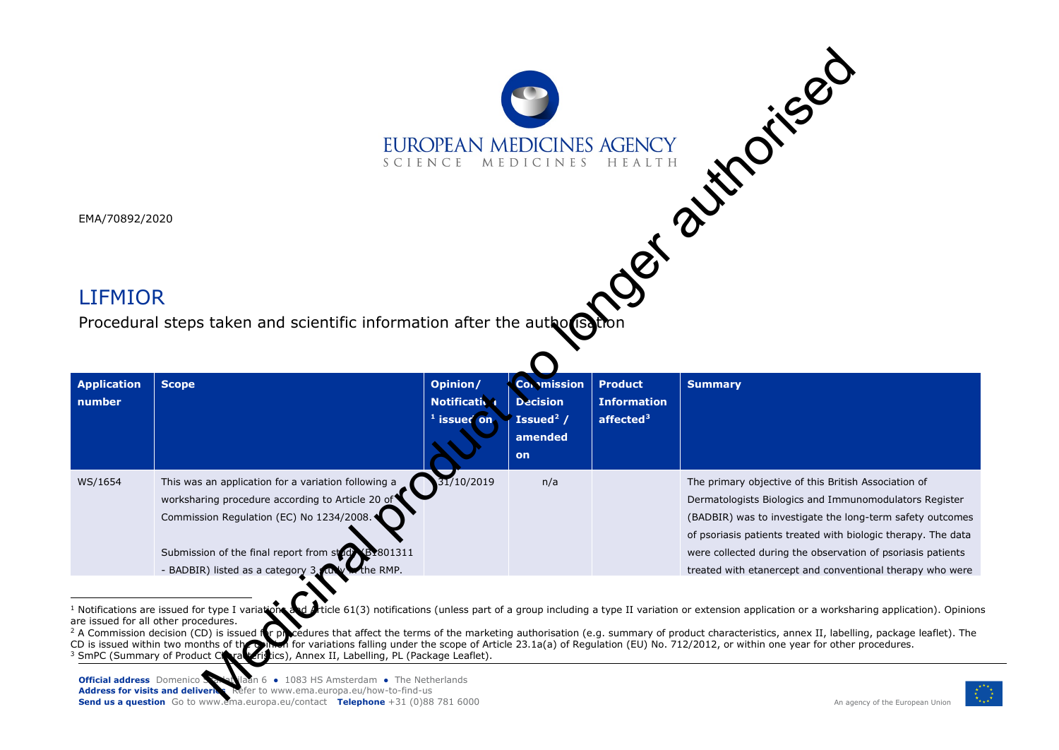<span id="page-0-2"></span><span id="page-0-1"></span><span id="page-0-0"></span>

|                              |                                                                                                                                                                                                                                                                               | SCIENCE MEDICINES                                |                                                                                        | EUROPEAN MEDICINES AGENCY                            | Ost a time rise                                                                                                                                                                                                                                                                                                                                                                                                                                                                                                                                 |
|------------------------------|-------------------------------------------------------------------------------------------------------------------------------------------------------------------------------------------------------------------------------------------------------------------------------|--------------------------------------------------|----------------------------------------------------------------------------------------|------------------------------------------------------|-------------------------------------------------------------------------------------------------------------------------------------------------------------------------------------------------------------------------------------------------------------------------------------------------------------------------------------------------------------------------------------------------------------------------------------------------------------------------------------------------------------------------------------------------|
| EMA/70892/2020               |                                                                                                                                                                                                                                                                               |                                                  |                                                                                        |                                                      |                                                                                                                                                                                                                                                                                                                                                                                                                                                                                                                                                 |
|                              |                                                                                                                                                                                                                                                                               |                                                  |                                                                                        |                                                      |                                                                                                                                                                                                                                                                                                                                                                                                                                                                                                                                                 |
| <b>LIFMIOR</b>               |                                                                                                                                                                                                                                                                               |                                                  |                                                                                        |                                                      |                                                                                                                                                                                                                                                                                                                                                                                                                                                                                                                                                 |
|                              | Procedural steps taken and scientific information after the author                                                                                                                                                                                                            |                                                  |                                                                                        |                                                      |                                                                                                                                                                                                                                                                                                                                                                                                                                                                                                                                                 |
|                              |                                                                                                                                                                                                                                                                               |                                                  |                                                                                        |                                                      |                                                                                                                                                                                                                                                                                                                                                                                                                                                                                                                                                 |
|                              |                                                                                                                                                                                                                                                                               |                                                  |                                                                                        |                                                      |                                                                                                                                                                                                                                                                                                                                                                                                                                                                                                                                                 |
| <b>Application</b><br>number | <b>Scope</b>                                                                                                                                                                                                                                                                  | Opinion/<br><b>Notificativa</b><br>$1$ issued on | <b>Convmission</b><br><b>Decision</b><br>Issued <sup>2</sup> /<br>amended<br><b>on</b> | <b>Product</b><br><b>Information</b><br>affected $3$ | <b>Summary</b>                                                                                                                                                                                                                                                                                                                                                                                                                                                                                                                                  |
| WS/1654                      | This was an application for a variation following a<br>worksharing procedure according to Article 20 of<br>Commission Regulation (EC) No 1234/2008.<br>Submission of the final report from study<br>(B <sub>2801311</sub><br>the RMP.<br>- BADBIR) listed as a category 3 sto | 31/10/2019                                       | n/a                                                                                    |                                                      | The primary objective of this British Association of<br>Dermatologists Biologics and Immunomodulators Register<br>(BADBIR) was to investigate the long-term safety outcomes<br>of psoriasis patients treated with biologic therapy. The data<br>were collected during the observation of psoriasis patients<br>treated with etanercept and conventional therapy who were                                                                                                                                                                        |
|                              | are issued for all other procedures.<br>CD is issued within two months of the planet for variations falling under the scope of Area SmPC (Summary of Product Clarical Articles), Annex II, Labelling, PL (Package Leaflet).                                                   |                                                  |                                                                                        |                                                      | Notifications are issued for type I variations and Aticle 61(3) notifications (unless part of a group including a type II variation or extension application or a worksharing application). Opinior<br>A Commission decision (CD) is issued for procedures that affect the terms of the marketing authorisation (e.g. summary of product characteristics, annex II, labelling, package leaflet). The<br>of for variations falling under the scope of Article 23.1a(a) of Regulation (EU) No. 712/2012, or within one year for other procedures. |

<sup>&</sup>lt;sup>1</sup> Notifications are issued for type I variations and Article 61(3) notifications (unless part of a group including a type II variation or extension application or a worksharing application). Opinions are issued for all other procedures.



<sup>&</sup>lt;sup>2</sup> A Commission decision (CD) is issued for procedures that affect the terms of the marketing authorisation (e.g. summary of product characteristics, annex II, labelling, package leaflet). The CD is issued within two months of the opinion for variations falling under the scope of Article 23.1a(a) of Regulation (EU) No. 712/2012, or within one year for other procedures. 3 A Commission decision (SU) is issued and the product of the product Characteristics), Annex II, Labelling, PL (Package Leaflet).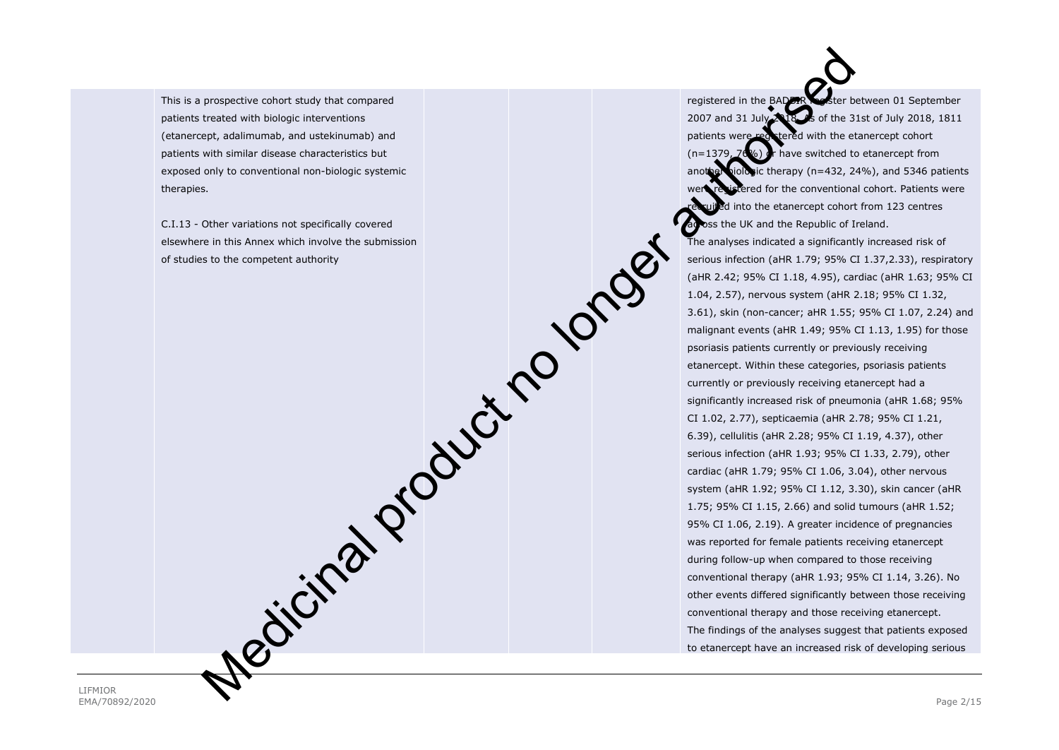This is a prospective cohort study that compared patients treated with biologic interventions (etanercept, adalimumab, and ustekinumab) and patients with similar disease characteristics but exposed only to conventional non-biologic systemic therapies.

C.I.13 - Other variations not specifically covered elsewhere in this Annex which involve the submission of studies to the competent authority

registered in the BADER **Resister between 01 September** 2007 and 31 July 2018. As of the 31st of July 2018, 1811 patients were registered with the etanercept cohort  $(n=1379, 76%)$  or have switched to etanercept from ic therapy (n=432, 24%), and 5346 patients ered for the conventional cohort. Patients were I into the etanercept cohort from 123 centres oss the UK and the Republic of Ireland. The analyses indicated a significantly increased risk of serious infection (aHR 1.79; 95% CI 1.37,2.33), respiratory (aHR 2.42; 95% CI 1.18, 4.95), cardiac (aHR 1.63; 95% CI 1.04, 2.57), nervous system (aHR 2.18; 95% CI 1.32, 3.61), skin (non-cancer; aHR 1.55; 95% CI 1.07, 2.24) and malignant events (aHR 1.49; 95% CI 1.13, 1.95) for those psoriasis patients currently or previously receiving etanercept. Within these categories, psoriasis patients currently or previously receiving etanercept had a significantly increased risk of pneumonia (aHR 1.68; 95% CI 1.02, 2.77), septicaemia (aHR 2.78; 95% CI 1.21, 6.39), cellulitis (aHR 2.28; 95% CI 1.19, 4.37), other serious infection (aHR 1.93; 95% CI 1.33, 2.79), other cardiac (aHR 1.79; 95% CI 1.06, 3.04), other nervous system (aHR 1.92; 95% CI 1.12, 3.30), skin cancer (aHR 1.75; 95% CI 1.15, 2.66) and solid tumours (aHR 1.52; 95% CI 1.06, 2.19). A greater incidence of pregnancies was reported for female patients receiving etanercept during follow-up when compared to those receiving conventional therapy (aHR 1.93; 95% CI 1.14, 3.26). No other events differed significantly between those receiving conventional therapy and those receiving etanercept. The findings of the analyses suggest that patients exposed to etanercept have an increased risk of developing serious proposed vs color study that company<br>
separate interaction and the corresponding and the second study of the corresponding to the second study of the second study of the second study of the second study of the second stud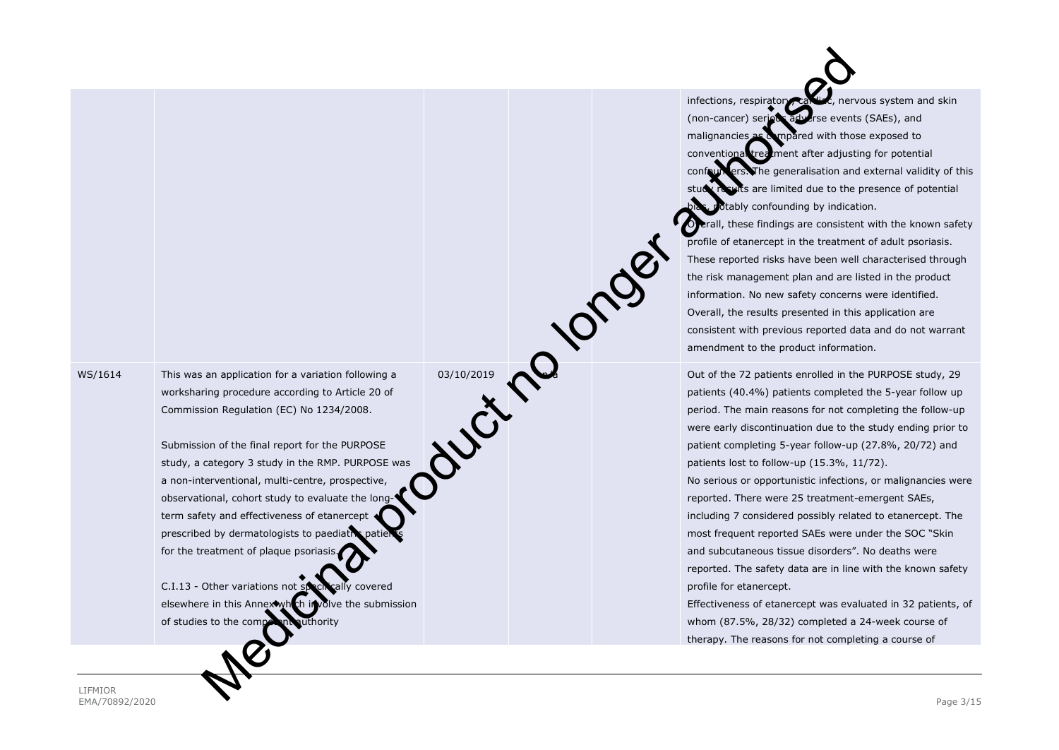WS/1614 This was an application for a variation following a<br>worksharing procedure according to Article 20 of<br>Commission Regulation (EC) No 1234/2008. worksharing procedure according to Article 20 of Commission Regulation (EC) No 1234/2008.

Submission of the final report for the PURPOSE study, a category 3 study in the RMP. PURPOSE was a non-interventional, multi-centre, prospective, observational, cohort study to evaluate the longterm safety and effectiveness of etanercept prescribed by dermatologists to paediatr for the treatment of plaque psoriasis.

 $C.I.13$  - Other variations not specifically covered elsewhere in this Annex which involve the submission of studies to the competent authority

infections, respiratory, cardiac, nervous system and skin (non-cancer) serious adverse events (SAEs), and malignancies as  $\alpha$  mpared with those exposed to conventional treatment after adjusting for potential confounders. The generalisation and external validity of this s are limited due to the presence of potential tably confounding by indication.

rall, these findings are consistent with the known safety profile of etanercept in the treatment of adult psoriasis. These reported risks have been well characterised through the risk management plan and are listed in the product information. No new safety concerns were identified. Overall, the results presented in this application are consistent with previous reported data and do not warrant amendment to the product information.

Out of the 72 patients enrolled in the PURPOSE study, 29 patients (40.4%) patients completed the 5-year follow up period. The main reasons for not completing the follow-up were early discontinuation due to the study ending prior to patient completing 5-year follow-up (27.8%, 20/72) and patients lost to follow-up (15.3%, 11/72). No serious or opportunistic infections, or malignancies were reported. There were 25 treatment-emergent SAEs, including 7 considered possibly related to etanercept. The most frequent reported SAEs were under the SOC "Skin and subcutaneous tissue disorders". No deaths were reported. The safety data are in line with the known safety profile for etanercept. Medicinal production for a vanish field of  $\alpha$  and  $\beta$  and  $\beta$  and  $\beta$  and  $\beta$  and  $\beta$  and  $\beta$  and  $\beta$  and  $\beta$  and  $\beta$  and  $\beta$  and  $\beta$  and  $\beta$  and  $\beta$  and  $\beta$  and  $\beta$  and  $\beta$  and  $\beta$  and  $\beta$  and  $\beta$  an

Effectiveness of etanercept was evaluated in 32 patients, of whom (87.5%, 28/32) completed a 24-week course of therapy. The reasons for not completing a course of

LIFMIOR EMA/70892/2020 Page 3/15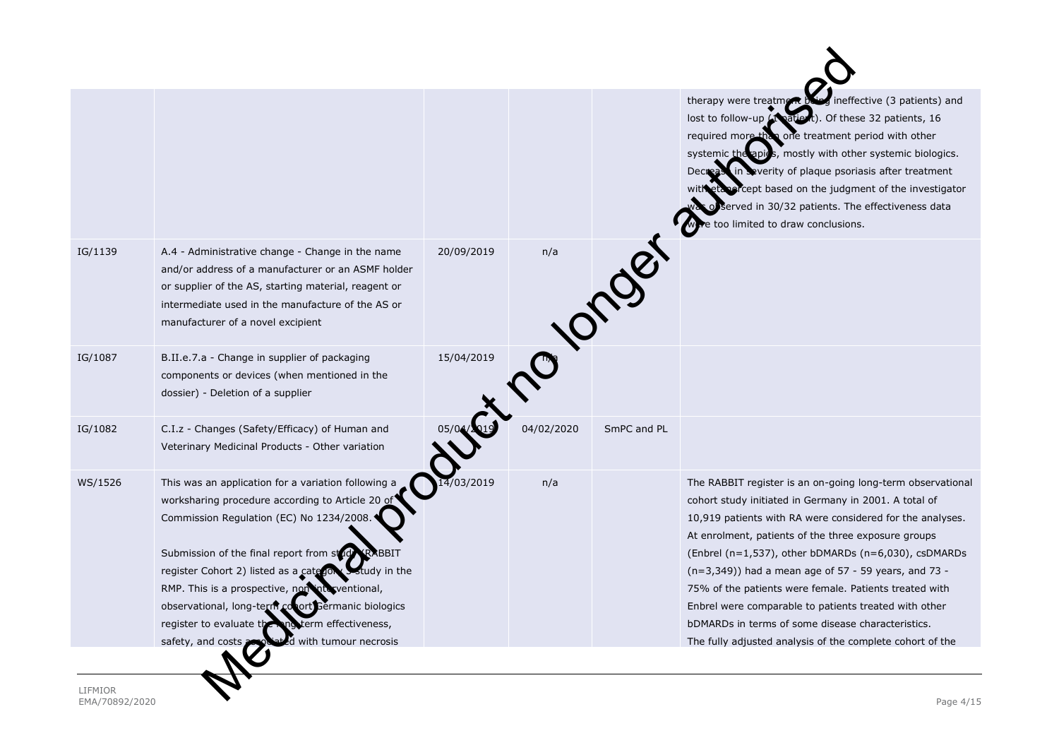|         |                                                                                                                                                                                                                                                                                                                                                                                                                                                                                    |            |            |             | ineffective (3 patients) and<br>therapy were treatment<br>lost to follow-up (1 patient). Of these 32 patients, 16<br>required more than one treatment period with other<br>systemic the apics, mostly with other systemic biologics.<br>in Severity of plaque psoriasis after treatment<br><b>Decreas</b><br>with etable cept based on the judgment of the investigator<br>of served in 30/32 patients. The effectiveness data<br>too limited to draw conclusions.                                                                                                                                   |
|---------|------------------------------------------------------------------------------------------------------------------------------------------------------------------------------------------------------------------------------------------------------------------------------------------------------------------------------------------------------------------------------------------------------------------------------------------------------------------------------------|------------|------------|-------------|------------------------------------------------------------------------------------------------------------------------------------------------------------------------------------------------------------------------------------------------------------------------------------------------------------------------------------------------------------------------------------------------------------------------------------------------------------------------------------------------------------------------------------------------------------------------------------------------------|
| IG/1139 | A.4 - Administrative change - Change in the name<br>and/or address of a manufacturer or an ASMF holder<br>or supplier of the AS, starting material, reagent or<br>intermediate used in the manufacture of the AS or<br>manufacturer of a novel excipient                                                                                                                                                                                                                           | 20/09/2019 | n/a        | 1081        |                                                                                                                                                                                                                                                                                                                                                                                                                                                                                                                                                                                                      |
| IG/1087 | B.II.e.7.a - Change in supplier of packaging<br>components or devices (when mentioned in the<br>dossier) - Deletion of a supplier                                                                                                                                                                                                                                                                                                                                                  | 15/04/2019 |            |             |                                                                                                                                                                                                                                                                                                                                                                                                                                                                                                                                                                                                      |
| IG/1082 | C.I.z - Changes (Safety/Efficacy) of Human and<br>Veterinary Medicinal Products - Other variation                                                                                                                                                                                                                                                                                                                                                                                  |            | 04/02/2020 | SmPC and PL |                                                                                                                                                                                                                                                                                                                                                                                                                                                                                                                                                                                                      |
| WS/1526 | This was an application for a variation following a<br>worksharing procedure according to Article 20 of<br>Commission Regulation (EC) No 1234/2008.<br>Submission of the final report from study<br>RABBIT<br>register Cohort 2) listed as a category study in the<br>RMP. This is a prospective, non interventional,<br>observational, long-term conort Germanic biologics<br>register to evaluate the<br>ong term effectiveness,<br>safety, and costs;<br>d with tumour necrosis | 03/2019    | n/a        |             | The RABBIT register is an on-going long-term observational<br>cohort study initiated in Germany in 2001. A total of<br>10,919 patients with RA were considered for the analyses.<br>At enrolment, patients of the three exposure groups<br>(Enbrel ( $n=1,537$ ), other bDMARDs ( $n=6,030$ ), csDMARDs<br>(n=3,349)) had a mean age of 57 - 59 years, and 73 -<br>75% of the patients were female. Patients treated with<br>Enbrel were comparable to patients treated with other<br>bDMARDs in terms of some disease characteristics.<br>The fully adjusted analysis of the complete cohort of the |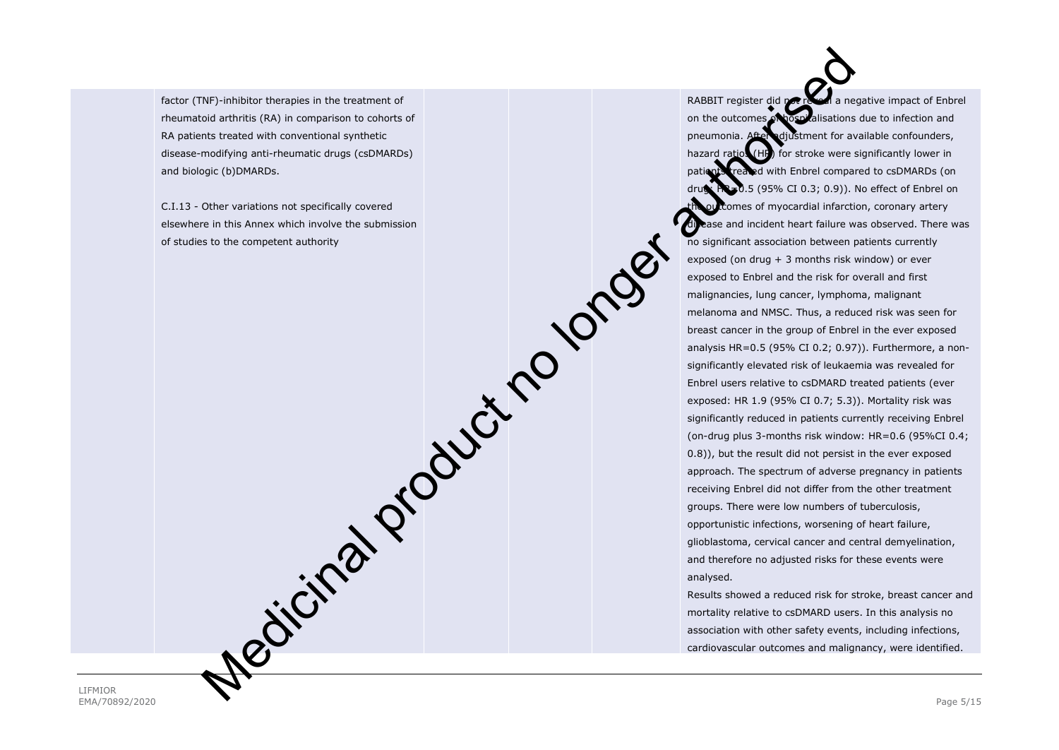factor (TNF)-inhibitor therapies in the treatment of rheumatoid arthritis (RA) in comparison to cohorts of RA patients treated with conventional synthetic disease-modifying anti-rheumatic drugs (csDMARDs) and biologic (b)DMARDs.

C.I.13 - Other variations not specifically covered elsewhere in this Annex which involve the submission of studies to the competent authority

RABBIT register did not reveal a negative impact of Enbrel on the outcomes of hospitalisations due to infection and pneumonia. After adjustment for available confounders, hazard ratios (HR) for stroke were significantly lower in patients treated with Enbrel compared to csDMARDs (on .5 (95% CI 0.3; 0.9)). No effect of Enbrel on tomes of myocardial infarction, coronary artery ase and incident heart failure was observed. There was no significant association between patients currently exposed (on drug + 3 months risk window) or ever exposed to Enbrel and the risk for overall and first malignancies, lung cancer, lymphoma, malignant melanoma and NMSC. Thus, a reduced risk was seen for breast cancer in the group of Enbrel in the ever exposed analysis HR=0.5 (95% CI 0.2; 0.97)). Furthermore, a nonsignificantly elevated risk of leukaemia was revealed for Enbrel users relative to csDMARD treated patients (ever exposed: HR 1.9 (95% CI 0.7; 5.3)). Mortality risk was significantly reduced in patients currently receiving Enbrel (on-drug plus 3-months risk window: HR=0.6 (95%CI 0.4; 0.8)), but the result did not persist in the ever exposed approach. The spectrum of adverse pregnancy in patients receiving Enbrel did not differ from the other treatment groups. There were low numbers of tuberculosis, opportunistic infections, worsening of heart failure, glioblastoma, cervical cancer and central demyelination, and therefore no adjusted risks for these events were analysed. Results showed a reduced risk for stroke, breast cancer and Medicinal product the statement of<br>
Encyclopted authorises to the detection of constraints of the statement of<br>
the completed authority and the statement of the statement of<br>
the completed authority of the statement of the

mortality relative to csDMARD users. In this analysis no association with other safety events, including infections, cardiovascular outcomes and malignancy, were identified.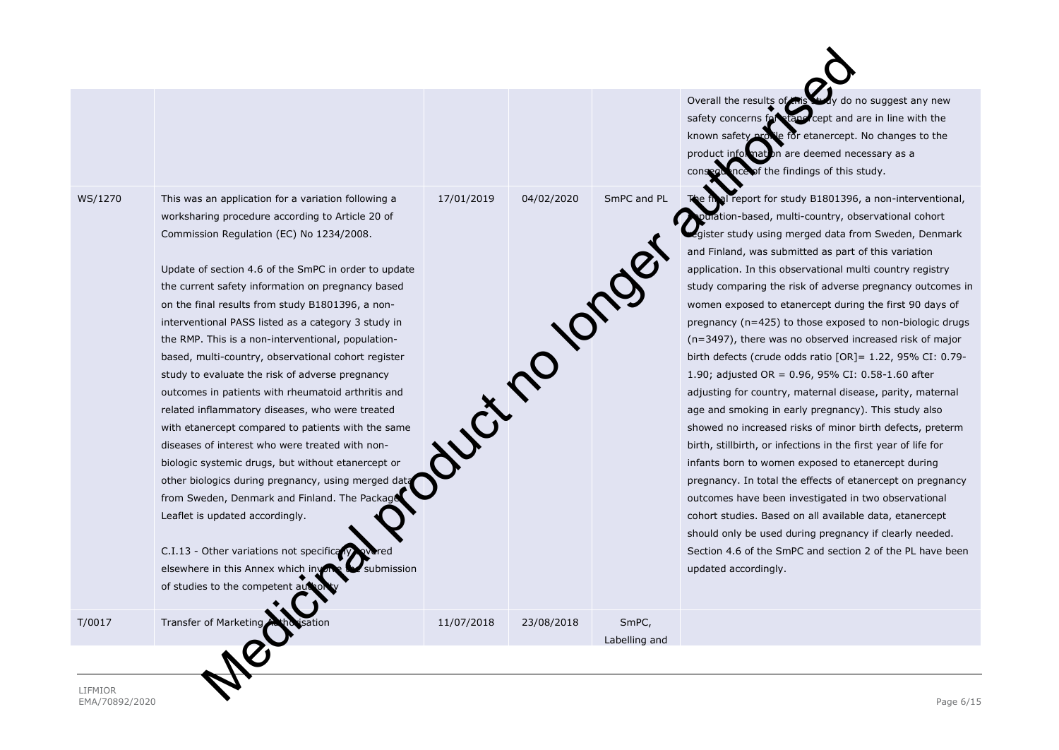WS/1270 This was an application for a variation following a worksharing procedure according to Article 20 of Commission Regulation (EC) No 1234/2008.

> Update of section 4.6 of the SmPC in order to update the current safety information on pregnancy based on the final results from study B1801396, a noninterventional PASS listed as a category 3 study in the RMP. This is a non-interventional, populationbased, multi-country, observational cohort register study to evaluate the risk of adverse pregnancy outcomes in patients with rheumatoid arthritis and related inflammatory diseases, who were treated with etanercept compared to patients with the same diseases of interest who were treated with nonbiologic systemic drugs, but without etanercept or other biologics during pregnancy, using merged dat from Sweden, Denmark and Finland. The Packad Leaflet is updated accordingly.

> C.I.13 - Other variations not specifical elsewhere in this Annex which involve  $\mathbb{R}$  submission of studies to the competent

T/0017 Transfer of Marketing Authorisation 11/07/2018 23/08/2018 SmPC,

Labelling and

Overall the results of this study do no suggest any new safety concerns for etaner cept and are in line with the known safety profile for etanercept. No changes to the product information are deemed necessary as a consequence of the findings of this study.

17/01/2019 04/02/2020 SmPC and PL The final report for study B1801396, a non-interventional, tion-based, multi-country, observational cohort register study using merged data from Sweden, Denmark and Finland, was submitted as part of this variation application. In this observational multi country registry study comparing the risk of adverse pregnancy outcomes in women exposed to etanercept during the first 90 days of pregnancy (n=425) to those exposed to non-biologic drugs (n=3497), there was no observed increased risk of major birth defects (crude odds ratio [OR]= 1.22, 95% CI: 0.79- 1.90; adjusted OR = 0.96, 95% CI: 0.58-1.60 after adjusting for country, maternal disease, parity, maternal age and smoking in early pregnancy). This study also showed no increased risks of minor birth defects, preterm birth, stillbirth, or infections in the first year of life for infants born to women exposed to etanercept during pregnancy. In total the effects of etanercept on pregnancy outcomes have been investigated in two observational cohort studies. Based on all available data, etanercept should only be used during pregnancy if clearly needed. Section 4.6 of the SmPC and section 2 of the PL have been updated accordingly. Medicinal product no longer authorised

LIFMIOR EMA/70892/2020 Page 6/15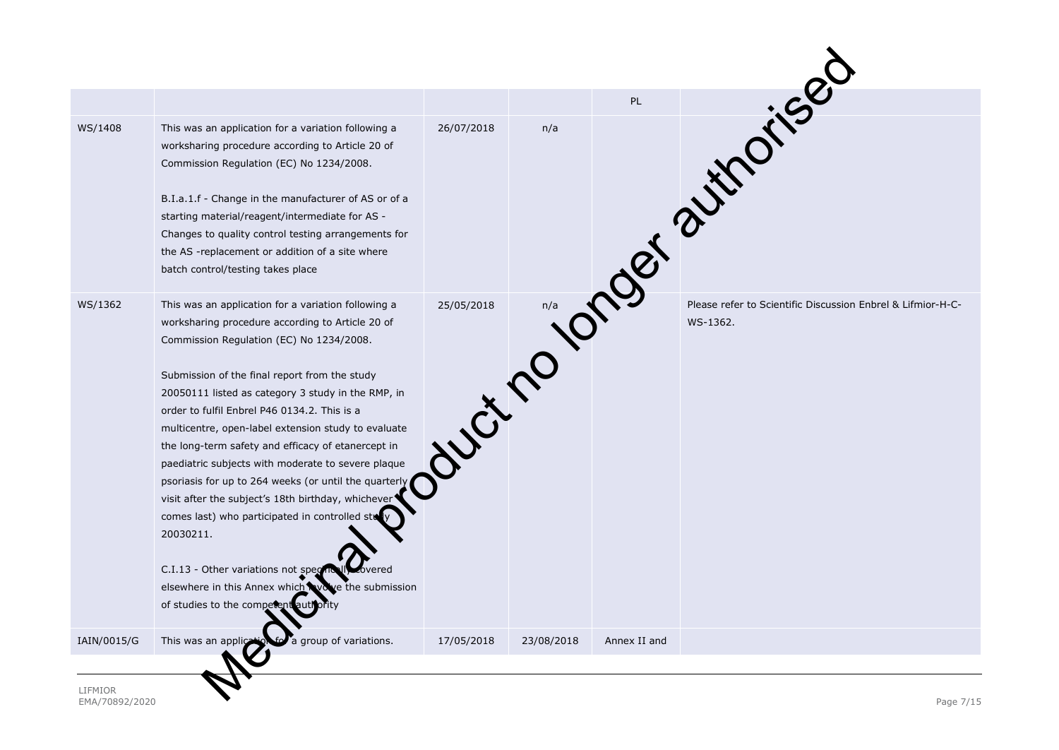| WS/1408     | This was an application for a variation following a<br>worksharing procedure according to Article 20 of<br>Commission Regulation (EC) No 1234/2008.<br>B.I.a.1.f - Change in the manufacturer of AS or of a<br>starting material/reagent/intermediate for AS -<br>Changes to quality control testing arrangements for<br>the AS -replacement or addition of a site where<br>batch control/testing takes place                                                                                                                                                                                                                                                                                                                                                                                      | 26/07/2018 |            |              | <b>One of autorised</b>                                     |
|-------------|----------------------------------------------------------------------------------------------------------------------------------------------------------------------------------------------------------------------------------------------------------------------------------------------------------------------------------------------------------------------------------------------------------------------------------------------------------------------------------------------------------------------------------------------------------------------------------------------------------------------------------------------------------------------------------------------------------------------------------------------------------------------------------------------------|------------|------------|--------------|-------------------------------------------------------------|
| WS/1362     | This was an application for a variation following a<br>worksharing procedure according to Article 20 of<br>Commission Regulation (EC) No 1234/2008.<br>Submission of the final report from the study<br>20050111 listed as category 3 study in the RMP, in<br>order to fulfil Enbrel P46 0134.2. This is a<br>multicentre, open-label extension study to evaluate<br>the long-term safety and efficacy of etanercept in<br>paediatric subjects with moderate to severe plaque<br>psoriasis for up to 264 weeks (or until the quarterly<br>visit after the subject's 18th birthday, whichever<br>comes last) who participated in controlled sti<br>20030211.<br>C.I.13 - Other variations not species<br>bvered<br>elsewhere in this Annex which wowe the submission<br>of studies to the competent | 25/05/2018 | Hutch      |              | Please refer to Scientific Discussion Enbrel & Lifmior-H-C- |
| IAIN/0015/G | This was an appliq<br>group of variations.                                                                                                                                                                                                                                                                                                                                                                                                                                                                                                                                                                                                                                                                                                                                                         | 17/05/2018 | 23/08/2018 | Annex II and |                                                             |
|             |                                                                                                                                                                                                                                                                                                                                                                                                                                                                                                                                                                                                                                                                                                                                                                                                    |            |            |              |                                                             |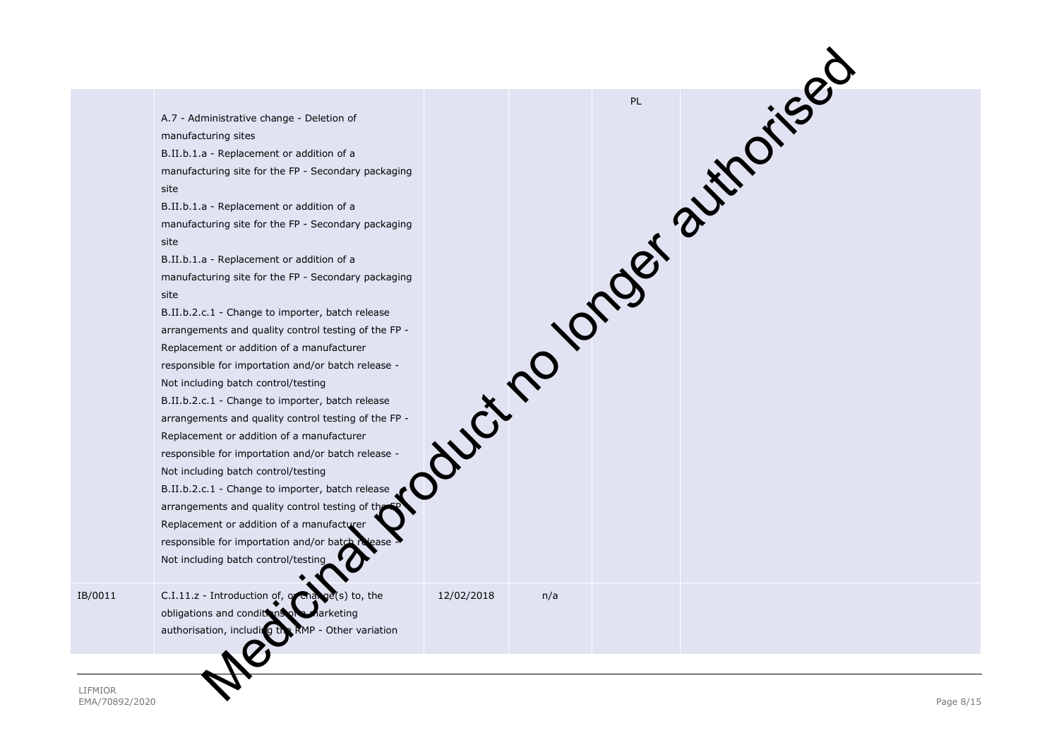|         | A.7 - Administrative change - Deletion of<br>manufacturing sites<br>B.II.b.1.a - Replacement or addition of a<br>manufacturing site for the FP - Secondary packaging<br>site<br>B.II.b.1.a - Replacement or addition of a<br>manufacturing site for the FP - Secondary packaging<br>site<br>B.II.b.1.a - Replacement or addition of a<br>manufacturing site for the FP - Secondary packaging<br>site<br>B.II.b.2.c.1 - Change to importer, batch release<br>arrangements and quality control testing of the FP -<br>Replacement or addition of a manufacturer<br>responsible for importation and/or batch release -<br>Not including batch control/testing<br>B.II.b.2.c.1 - Change to importer, batch release<br>arrangements and quality control testing of the FP -<br>Replacement or addition of a manufacturer<br>responsible for importation and/or batch release -<br>Not including batch control/testing<br>B.II.b.2.c.1 - Change to importer, batch release<br>arrangements and quality control testing of the<br>Replacement or addition of a manufacturer<br>responsible for importation and/or batch |            |     | Journoy or of authorised |  |
|---------|------------------------------------------------------------------------------------------------------------------------------------------------------------------------------------------------------------------------------------------------------------------------------------------------------------------------------------------------------------------------------------------------------------------------------------------------------------------------------------------------------------------------------------------------------------------------------------------------------------------------------------------------------------------------------------------------------------------------------------------------------------------------------------------------------------------------------------------------------------------------------------------------------------------------------------------------------------------------------------------------------------------------------------------------------------------------------------------------------------------|------------|-----|--------------------------|--|
| IB/0011 | Not including batch control/testing<br>C.I.11.z - Introduction of, or that<br>(s) to, the<br>obligations and conditions of<br>Aarketing<br>RMP - Other variation<br>authorisation, including th                                                                                                                                                                                                                                                                                                                                                                                                                                                                                                                                                                                                                                                                                                                                                                                                                                                                                                                  | 12/02/2018 | n/a |                          |  |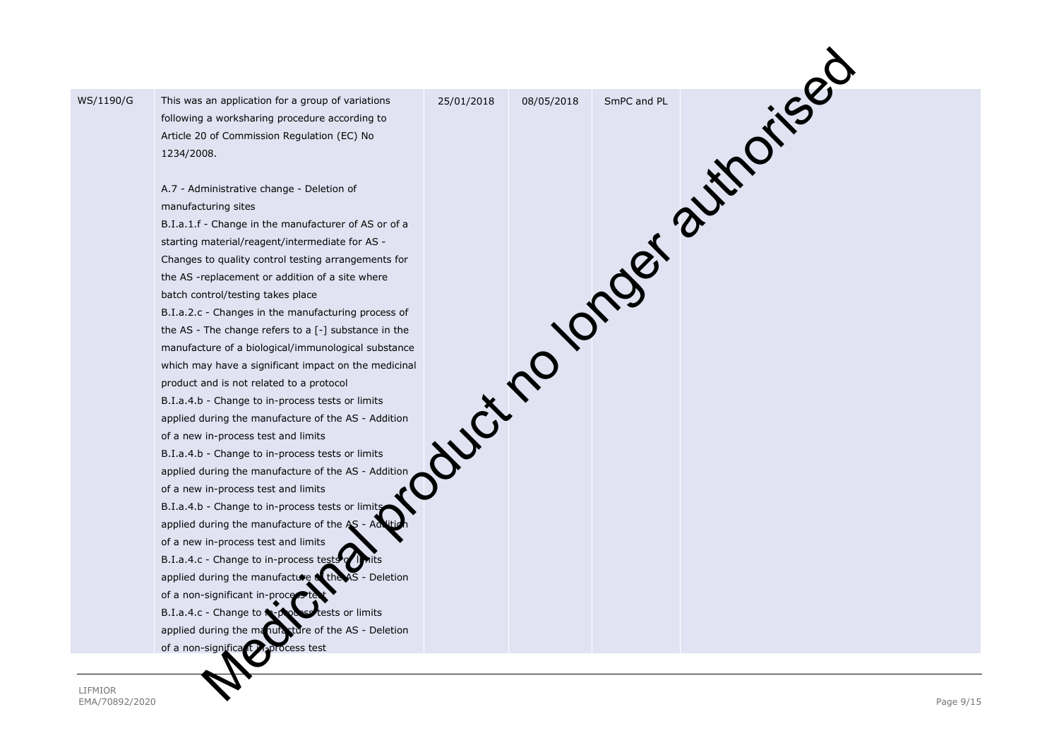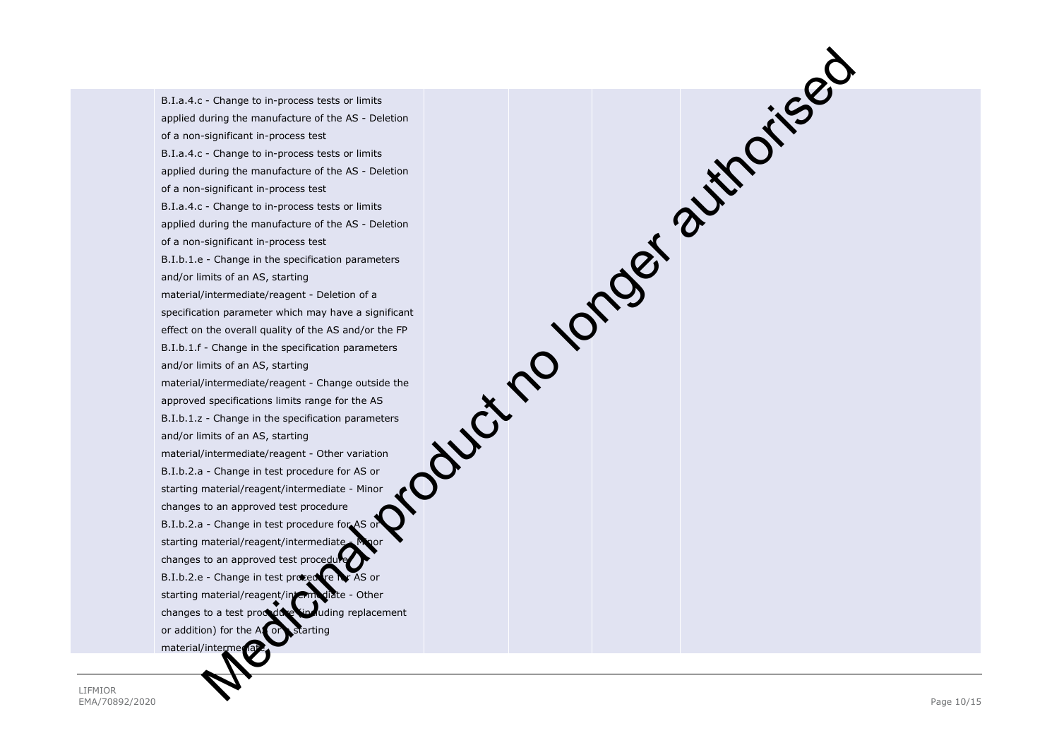B.I.a.4.c - Change to in -process tests or limits applied during the manufacture of the AS - Deletion of a non -significant in -process test B.I.a.4.c - Change to in -process tests or limits applied during the manufacture of the AS - Deletion of a non -significant in -process test B.I.a.4.c - Change to in -process tests or limits applied during the manufacture of the AS - Deletion of a non -significant in -process test B.I.b.1.e - Change in the specification parameters and/or limits of an AS, starting material/intermediate/reagent - Deletion of a specification parameter which may have a significant effect on the overall quality of the AS and/or the FP B.I.b.1.f - Change in the specification parameters and/or limits of an AS, starting material/intermediate/reagent - Change outside the approved specifications limits range for the AS B.I.b.1.z - Change in the specification parameters and/or limits of an AS, starting material/intermediate/reagent - Other variation B.I.b.2.a - Change in test procedure for AS or starting material/reagent/intermediate - Minor changes to an approved test procedure B.I.b.2.a - Change in test procedure for AS starting material/reagent/intermediate. changes to an approved test proced B.I.b.2.e - Change in test procedure for AS or starting material/reagent/intermediate - Other changes to a test procedure (including replacement or addition) for the AS or a starting material/interme oduct no longer authorised

LIFMIOR EMA/70892/2020 Page 10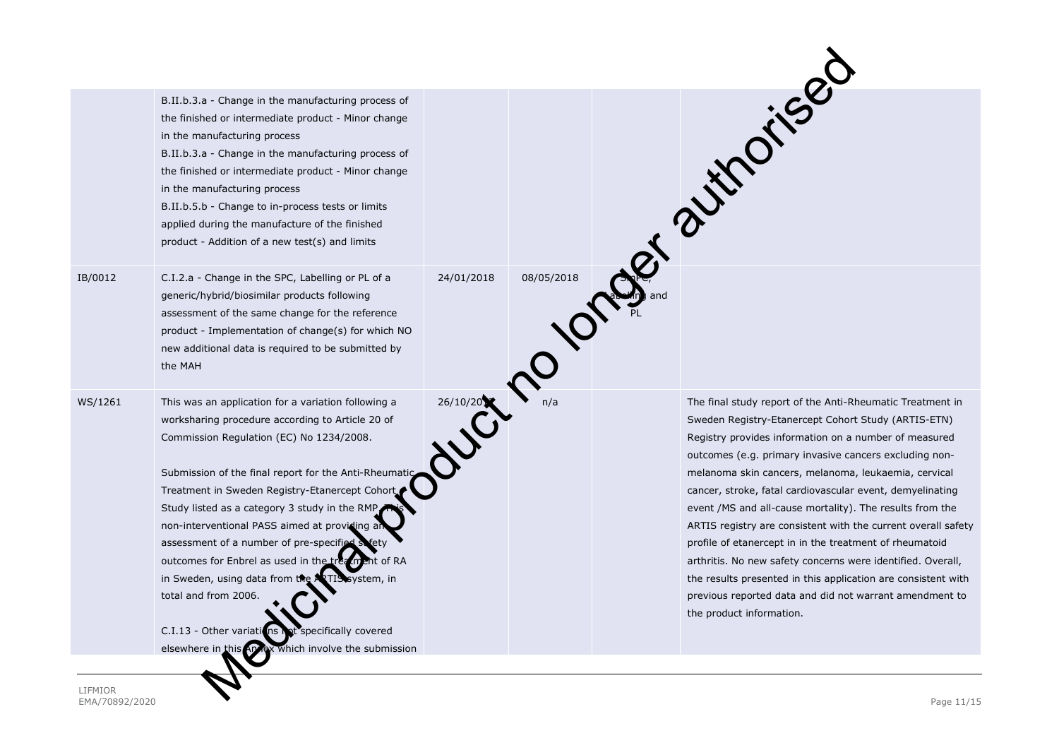|         | B.II.b.3.a - Change in the manufacturing process of<br>the finished or intermediate product - Minor change<br>in the manufacturing process<br>B.II.b.3.a - Change in the manufacturing process of<br>the finished or intermediate product - Minor change<br>in the manufacturing process<br>B.II.b.5.b - Change to in-process tests or limits<br>applied during the manufacture of the finished                                                                                                                                                                                                                                                              |            |            | Ref. 2 Miles                                                                                                                                                                                                                                                                                                                                                                                                                                                                                                                                                                                                                                                                                                                                                            |
|---------|--------------------------------------------------------------------------------------------------------------------------------------------------------------------------------------------------------------------------------------------------------------------------------------------------------------------------------------------------------------------------------------------------------------------------------------------------------------------------------------------------------------------------------------------------------------------------------------------------------------------------------------------------------------|------------|------------|-------------------------------------------------------------------------------------------------------------------------------------------------------------------------------------------------------------------------------------------------------------------------------------------------------------------------------------------------------------------------------------------------------------------------------------------------------------------------------------------------------------------------------------------------------------------------------------------------------------------------------------------------------------------------------------------------------------------------------------------------------------------------|
| IB/0012 | product - Addition of a new test(s) and limits<br>C.I.2.a - Change in the SPC, Labelling or PL of a                                                                                                                                                                                                                                                                                                                                                                                                                                                                                                                                                          | 24/01/2018 | 08/05/2018 |                                                                                                                                                                                                                                                                                                                                                                                                                                                                                                                                                                                                                                                                                                                                                                         |
|         | generic/hybrid/biosimilar products following<br>assessment of the same change for the reference<br>product - Implementation of change(s) for which NO<br>new additional data is required to be submitted by<br>the MAH                                                                                                                                                                                                                                                                                                                                                                                                                                       |            |            |                                                                                                                                                                                                                                                                                                                                                                                                                                                                                                                                                                                                                                                                                                                                                                         |
| WS/1261 | This was an application for a variation following a<br>worksharing procedure according to Article 20 of<br>Commission Regulation (EC) No 1234/2008.<br>Submission of the final report for the Anti-Rheumatic<br>Treatment in Sweden Registry-Etanercept Cohort<br>Study listed as a category 3 study in the RMP<br>non-interventional PASS aimed at providing a<br>assessment of a number of pre-specified s<br>outcomes for Enbrel as used in the tru<br>ment of RA<br>in Sweden, using data from the<br>system, in<br>total and from 2006.<br>C.I.13 - Other variations<br>ot specifically covered<br>elsewhere in this Apvex which involve the submission | 26/10/20   |            | The final study report of the Anti-Rheumatic Treatment in<br>Sweden Registry-Etanercept Cohort Study (ARTIS-ETN)<br>Registry provides information on a number of measured<br>outcomes (e.g. primary invasive cancers excluding non-<br>melanoma skin cancers, melanoma, leukaemia, cervical<br>cancer, stroke, fatal cardiovascular event, demyelinating<br>event /MS and all-cause mortality). The results from the<br>ARTIS registry are consistent with the current overall safety<br>profile of etanercept in in the treatment of rheumatoid<br>arthritis. No new safety concerns were identified. Overall,<br>the results presented in this application are consistent with<br>previous reported data and did not warrant amendment to<br>the product information. |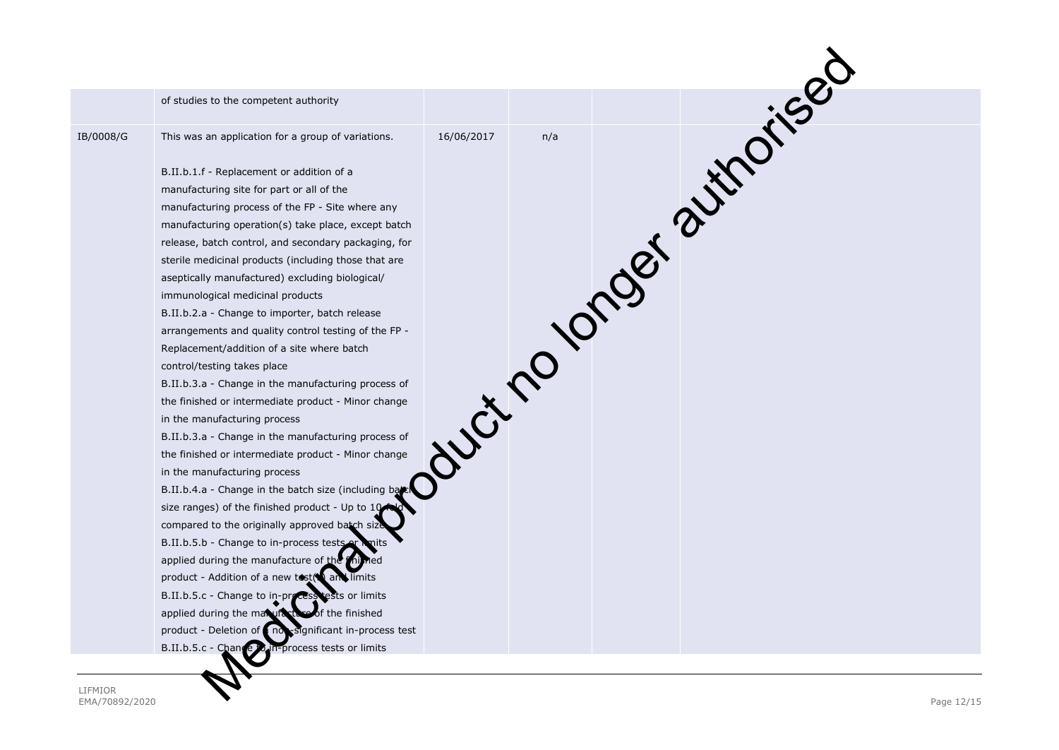|           | of studies to the competent authority                             |  |                           |  |
|-----------|-------------------------------------------------------------------|--|---------------------------|--|
| IB/0008/G | This was an application for a group of variations.                |  | duct no longer authorised |  |
|           | B.II.b.1.f - Replacement or addition of a                         |  |                           |  |
|           | manufacturing site for part or all of the                         |  |                           |  |
|           | manufacturing process of the FP - Site where any                  |  |                           |  |
|           | manufacturing operation(s) take place, except batch               |  |                           |  |
|           | release, batch control, and secondary packaging, for              |  |                           |  |
|           | sterile medicinal products (including those that are              |  |                           |  |
|           | aseptically manufactured) excluding biological/                   |  |                           |  |
|           | immunological medicinal products                                  |  |                           |  |
|           | B.II.b.2.a - Change to importer, batch release                    |  |                           |  |
|           | arrangements and quality control testing of the FP -              |  |                           |  |
|           | Replacement/addition of a site where batch                        |  |                           |  |
|           | control/testing takes place                                       |  |                           |  |
|           | B.II.b.3.a - Change in the manufacturing process of               |  |                           |  |
|           | the finished or intermediate product - Minor change               |  |                           |  |
|           | in the manufacturing process                                      |  |                           |  |
|           | B.II.b.3.a - Change in the manufacturing process of               |  |                           |  |
|           | the finished or intermediate product - Minor change               |  |                           |  |
|           | in the manufacturing process                                      |  |                           |  |
|           | B.II.b.4.a - Change in the batch size (including bat              |  |                           |  |
|           | size ranges) of the finished product - Up to 10                   |  |                           |  |
|           | compared to the originally approved batch siz                     |  |                           |  |
|           | B.II.b.5.b - Change to in-process tests or                        |  |                           |  |
|           | applied during the manufacture of the                             |  |                           |  |
|           | product - Addition of a new tost( and limits                      |  |                           |  |
|           | B.II.b.5.c - Change to in-process tests or limits                 |  |                           |  |
|           | applied during the manufactu<br>of the finished                   |  |                           |  |
|           | product - Deletion of<br>significant in-process test<br>$n\sigma$ |  |                           |  |
|           | B.II.b.5.c - Chang<br>in-process tests or limits                  |  |                           |  |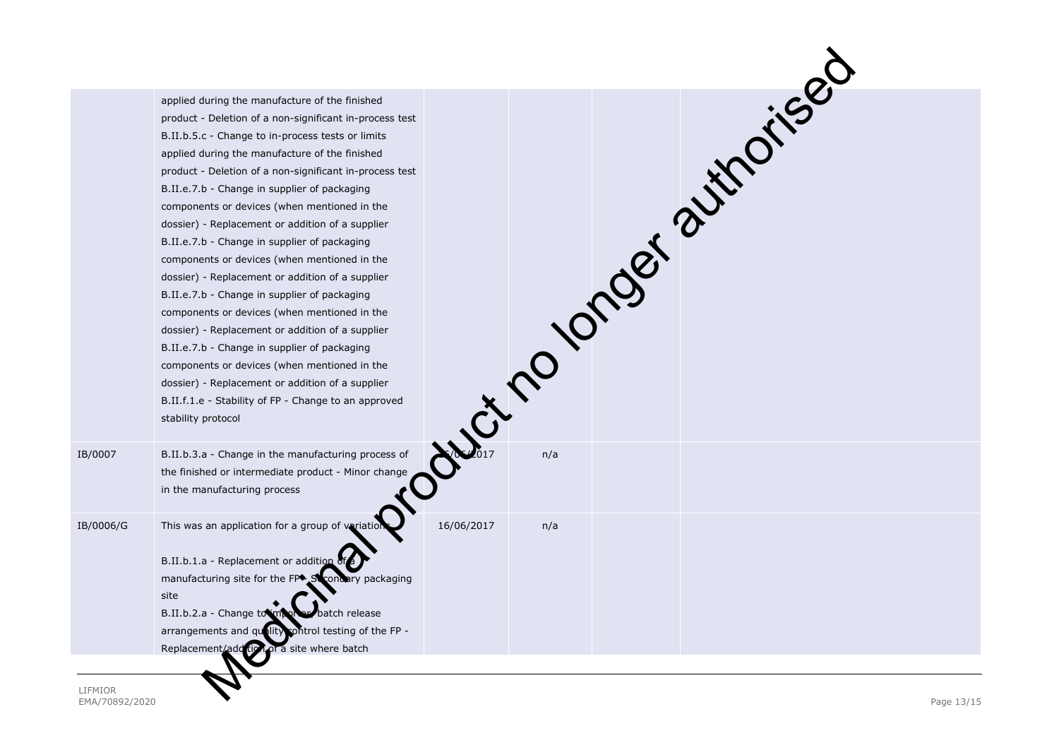|           | applied during the manufacture of the finished<br>product - Deletion of a non-significant in-process test<br>B.II.b.5.c - Change to in-process tests or limits<br>applied during the manufacture of the finished<br>product - Deletion of a non-significant in-process test<br>B.II.e.7.b - Change in supplier of packaging<br>components or devices (when mentioned in the<br>dossier) - Replacement or addition of a supplier<br>B.II.e.7.b - Change in supplier of packaging<br>components or devices (when mentioned in the<br>dossier) - Replacement or addition of a supplier<br>B.II.e.7.b - Change in supplier of packaging<br>components or devices (when mentioned in the<br>dossier) - Replacement or addition of a supplier<br>B.II.e.7.b - Change in supplier of packaging<br>components or devices (when mentioned in the<br>dossier) - Replacement or addition of a supplier<br>B.II.f.1.e - Stability of FP - Change to an approved<br>stability protocol |            |     | Justino longer sutholised |  |
|-----------|---------------------------------------------------------------------------------------------------------------------------------------------------------------------------------------------------------------------------------------------------------------------------------------------------------------------------------------------------------------------------------------------------------------------------------------------------------------------------------------------------------------------------------------------------------------------------------------------------------------------------------------------------------------------------------------------------------------------------------------------------------------------------------------------------------------------------------------------------------------------------------------------------------------------------------------------------------------------------|------------|-----|---------------------------|--|
| IB/0007   | B.II.b.3.a - Change in the manufacturing process of<br>the finished or intermediate product - Minor change<br>in the manufacturing process                                                                                                                                                                                                                                                                                                                                                                                                                                                                                                                                                                                                                                                                                                                                                                                                                                |            |     |                           |  |
| IB/0006/G | This was an application for a group of variation<br>B.II.b.1.a - Replacement or addition<br>manufacturing site for the FP <sup>+</sup><br>y packaging<br>site<br>B.II.b.2.a - Change to im<br>batch release<br>control testing of the FP -<br>arrangements and quality<br>of a site where batch<br>Replacement/add                                                                                                                                                                                                                                                                                                                                                                                                                                                                                                                                                                                                                                                        | 16/06/2017 | n/a |                           |  |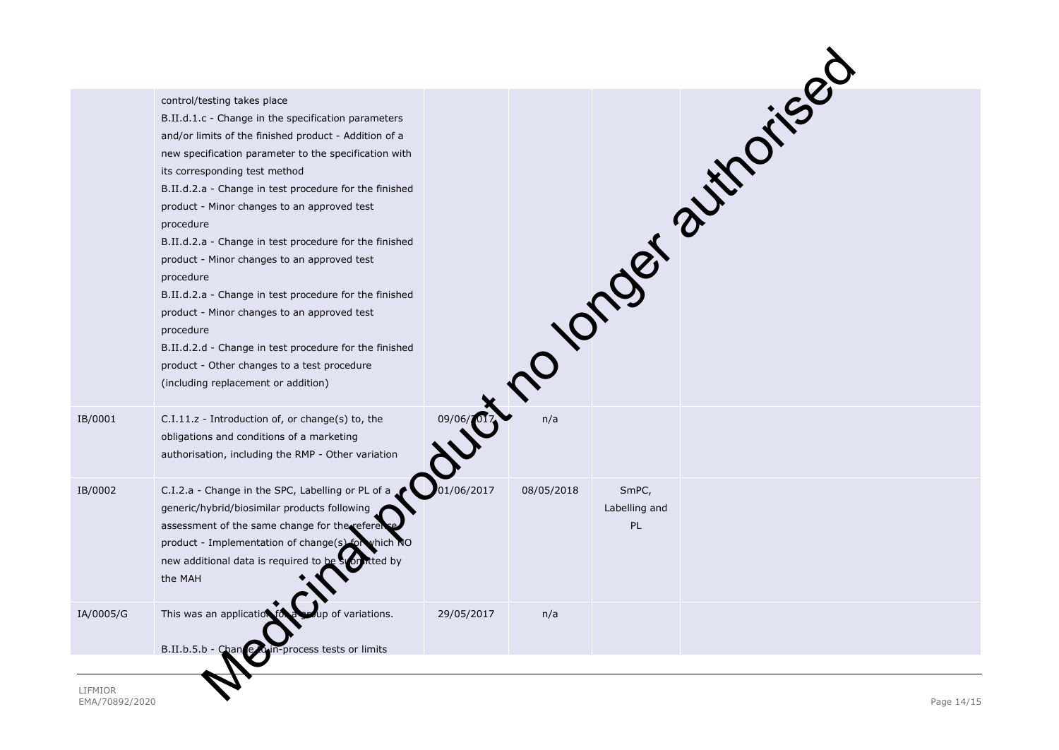| control/testing takes place<br>B.II.d.1.c - Change in the specification parameters<br>and/or limits of the finished product - Addition of a<br>new specification parameter to the specification with<br>its corresponding test method<br>B.II.d.2.a - Change in test procedure for the finished<br>product - Minor changes to an approved test<br>procedure<br>B.II.d.2.a - Change in test procedure for the finished<br>product - Minor changes to an approved test<br>procedure<br>B.II.d.2.a - Change in test procedure for the finished<br>product - Minor changes to an approved test<br>procedure<br>B.II.d.2.d - Change in test procedure for the finished<br>product - Other changes to a test procedure<br>(including replacement or addition) |            |            |                                     |                             |
|---------------------------------------------------------------------------------------------------------------------------------------------------------------------------------------------------------------------------------------------------------------------------------------------------------------------------------------------------------------------------------------------------------------------------------------------------------------------------------------------------------------------------------------------------------------------------------------------------------------------------------------------------------------------------------------------------------------------------------------------------------|------------|------------|-------------------------------------|-----------------------------|
| C.I.11.z - Introduction of, or change(s) to, the<br>obligations and conditions of a marketing<br>authorisation, including the RMP - Other variation                                                                                                                                                                                                                                                                                                                                                                                                                                                                                                                                                                                                     |            |            |                                     |                             |
| C.I.2.a - Change in the SPC, Labelling or PL of a<br>generic/hybrid/biosimilar products following<br>assessment of the same change for the refere<br>product - Implementation of change(s) for which NO<br>new additional data is required to be<br>tted by<br>the MAH                                                                                                                                                                                                                                                                                                                                                                                                                                                                                  | 01/06/2017 | 08/05/2018 | SmPC,<br>Labelling and<br><b>PL</b> |                             |
| This was an applicatio<br>of variations.                                                                                                                                                                                                                                                                                                                                                                                                                                                                                                                                                                                                                                                                                                                | 29/05/2017 | n/a        |                                     |                             |
|                                                                                                                                                                                                                                                                                                                                                                                                                                                                                                                                                                                                                                                                                                                                                         |            |            |                                     | Western Polonger avithories |